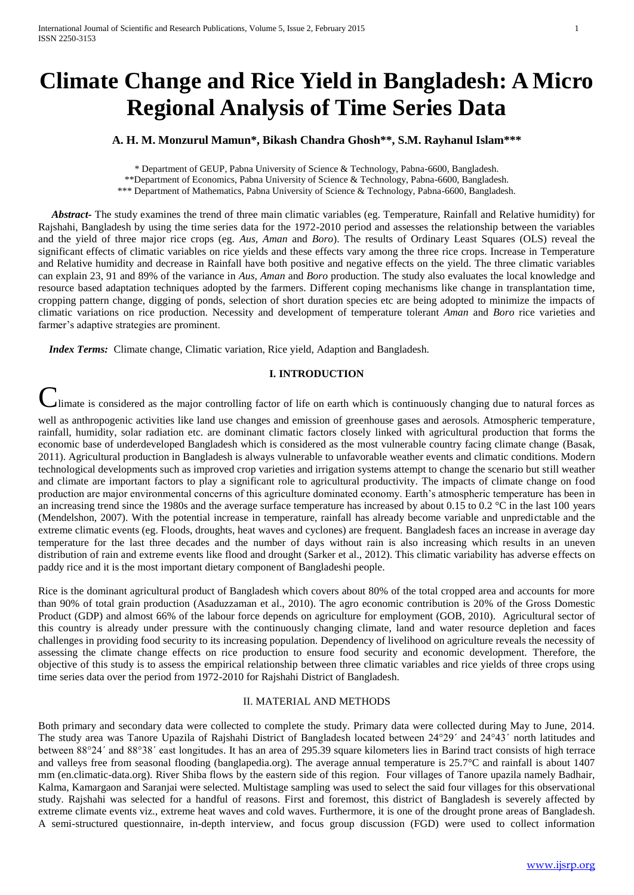# **Climate Change and Rice Yield in Bangladesh: A Micro Regional Analysis of Time Series Data**

**A. H. M. Monzurul Mamun\*, Bikash Chandra Ghosh\*\*, S.M. Rayhanul Islam\*\*\***

\* Department of GEUP, Pabna University of Science & Technology, Pabna-6600, Bangladesh. \*\*Department of Economics, Pabna University of Science & Technology, Pabna-6600, Bangladesh.

\*\*\* Department of Mathematics, Pabna University of Science & Technology, Pabna-6600, Bangladesh.

 *Abstract-* The study examines the trend of three main climatic variables (eg. Temperature, Rainfall and Relative humidity) for Rajshahi, Bangladesh by using the time series data for the 1972-2010 period and assesses the relationship between the variables and the yield of three major rice crops (eg. *Aus, Aman* and *Boro*). The results of Ordinary Least Squares (OLS) reveal the significant effects of climatic variables on rice yields and these effects vary among the three rice crops. Increase in Temperature and Relative humidity and decrease in Rainfall have both positive and negative effects on the yield. The three climatic variables can explain 23, 91 and 89% of the variance in *Aus, Aman* and *Boro* production. The study also evaluates the local knowledge and resource based adaptation techniques adopted by the farmers. Different coping mechanisms like change in transplantation time, cropping pattern change, digging of ponds, selection of short duration species etc are being adopted to minimize the impacts of climatic variations on rice production. Necessity and development of temperature tolerant *Aman* and *Boro* rice varieties and farmer's adaptive strategies are prominent.

 *Index Terms:* Climate change, Climatic variation, Rice yield, Adaption and Bangladesh.

## **I. INTRODUCTION**

Imate is considered as the major controlling factor of life on earth which is continuously changing due to natural forces as

well as anthropogenic activities like land use changes and emission of greenhouse gases and aerosols. Atmospheric temperature, rainfall, humidity, solar radiation etc. are dominant climatic factors closely linked with agricultural production that forms the economic base of underdeveloped Bangladesh which is considered as the most vulnerable country facing climate change (Basak, 2011). Agricultural production in Bangladesh is always vulnerable to unfavorable weather events and climatic conditions. Modern technological developments such as improved crop varieties and irrigation systems attempt to change the scenario but still weather and climate are important factors to play a significant role to agricultural productivity. The impacts of climate change on food production are major environmental concerns of this agriculture dominated economy. Earth's atmospheric temperature has been in an increasing trend since the 1980s and the average surface temperature has increased by about 0.15 to 0.2  $^{\circ}$ C in the last 100 years (Mendelshon, 2007). With the potential increase in temperature, rainfall has already become variable and unpredictable and the extreme climatic events (eg. Floods, droughts, heat waves and cyclones) are frequent. Bangladesh faces an increase in average day temperature for the last three decades and the number of days without rain is also increasing which results in an uneven distribution of rain and extreme events like flood and drought (Sarker et al., 2012). This climatic variability has adverse effects on paddy rice and it is the most important dietary component of Bangladeshi people.

Rice is the dominant agricultural product of Bangladesh which covers about 80% of the total cropped area and accounts for more than 90% of total grain production (Asaduzzaman et al., 2010). The agro economic contribution is 20% of the Gross Domestic Product (GDP) and almost 66% of the labour force depends on agriculture for employment (GOB, 2010). Agricultural sector of this country is already under pressure with the continuously changing climate, land and water resource depletion and faces challenges in providing food security to its increasing population. Dependency of livelihood on agriculture reveals the necessity of assessing the climate change effects on rice production to ensure food security and economic development. Therefore, the objective of this study is to assess the empirical relationship between three climatic variables and rice yields of three crops using time series data over the period from 1972-2010 for Rajshahi District of Bangladesh.

#### II. MATERIAL AND METHODS

Both primary and secondary data were collected to complete the study. Primary data were collected during May to June, 2014. The study area was Tanore Upazila of Rajshahi District of Bangladesh located between 24°29ˊ and 24°43ˊ north latitudes and between 88°24ˊ and 88°38ˊ east longitudes. It has an area of 295.39 square kilometers lies in Barind tract consists of high terrace and valleys free from seasonal flooding (banglapedia.org). The average annual temperature is 25.7°C and rainfall is about 1407 mm (en.climatic-data.org). River Shiba flows by the eastern side of this region. Four villages of Tanore upazila namely Badhair, Kalma, Kamargaon and Saranjai were selected. Multistage sampling was used to select the said four villages for this observational study. Rajshahi was selected for a handful of reasons. First and foremost, this district of Bangladesh is severely affected by extreme climate events viz., extreme heat waves and cold waves. Furthermore, it is one of the drought prone areas of Bangladesh. A semi-structured questionnaire, in-depth interview, and focus group discussion (FGD) were used to collect information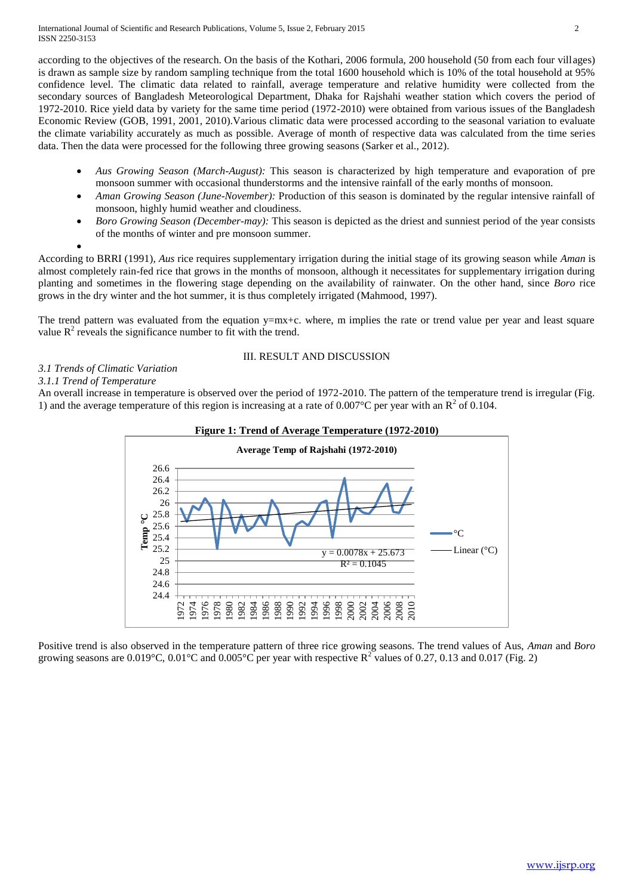according to the objectives of the research. On the basis of the Kothari, 2006 formula, 200 household (50 from each four villages) is drawn as sample size by random sampling technique from the total 1600 household which is 10% of the total household at 95% confidence level. The climatic data related to rainfall, average temperature and relative humidity were collected from the secondary sources of Bangladesh Meteorological Department, Dhaka for Rajshahi weather station which covers the period of 1972-2010. Rice yield data by variety for the same time period (1972-2010) were obtained from various issues of the Bangladesh Economic Review (GOB, 1991, 2001, 2010).Various climatic data were processed according to the seasonal variation to evaluate the climate variability accurately as much as possible. Average of month of respective data was calculated from the time series data. Then the data were processed for the following three growing seasons (Sarker et al., 2012).

- *Aus Growing Season (March-August):* This season is characterized by high temperature and evaporation of pre monsoon summer with occasional thunderstorms and the intensive rainfall of the early months of monsoon.
- *Aman Growing Season (June-November):* Production of this season is dominated by the regular intensive rainfall of monsoon, highly humid weather and cloudiness.
- *Boro Growing Season (December-may):* This season is depicted as the driest and sunniest period of the year consists of the months of winter and pre monsoon summer.

 $\bullet$ 

According to BRRI (1991), *Aus* rice requires supplementary irrigation during the initial stage of its growing season while *Aman* is almost completely rain-fed rice that grows in the months of monsoon, although it necessitates for supplementary irrigation during planting and sometimes in the flowering stage depending on the availability of rainwater. On the other hand, since *Boro* rice grows in the dry winter and the hot summer, it is thus completely irrigated (Mahmood, 1997).

The trend pattern was evaluated from the equation y=mx+c. where, m implies the rate or trend value per year and least square value  $R^2$  reveals the significance number to fit with the trend.

## III. RESULT AND DISCUSSION

## *3.1 Trends of Climatic Variation*

## *3.1.1 Trend of Temperature*

An overall increase in temperature is observed over the period of 1972-2010. The pattern of the temperature trend is irregular (Fig. 1) and the average temperature of this region is increasing at a rate of  $0.007^{\circ}$ C per year with an R<sup>2</sup> of 0.104.



Positive trend is also observed in the temperature pattern of three rice growing seasons. The trend values of Aus, *Aman* and *Boro*  growing seasons are 0.019°C, 0.01°C and 0.005°C per year with respective  $R^2$  values of 0.27, 0.13 and 0.017 (Fig. 2)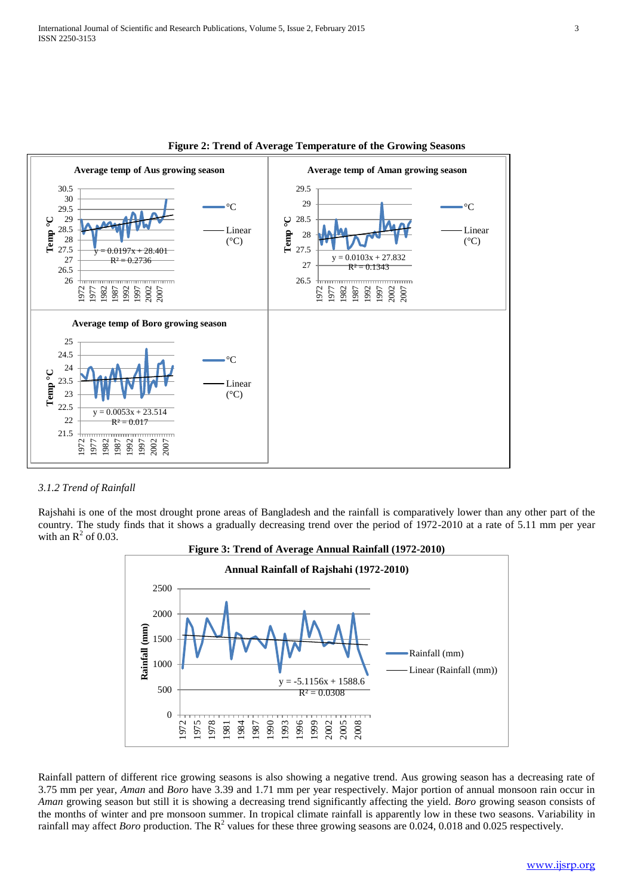



#### *3.1.2 Trend of Rainfall*

Rajshahi is one of the most drought prone areas of Bangladesh and the rainfall is comparatively lower than any other part of the country. The study finds that it shows a gradually decreasing trend over the period of 1972-2010 at a rate of 5.11 mm per year with an  $\mathbb{R}^2$  of 0.03.



Rainfall pattern of different rice growing seasons is also showing a negative trend. Aus growing season has a decreasing rate of 3.75 mm per year, *Aman* and *Boro* have 3.39 and 1.71 mm per year respectively. Major portion of annual monsoon rain occur in *Aman* growing season but still it is showing a decreasing trend significantly affecting the yield. *Boro* growing season consists of the months of winter and pre monsoon summer. In tropical climate rainfall is apparently low in these two seasons. Variability in rainfall may affect *Boro* production. The  $R^2$  values for these three growing seasons are 0.024, 0.018 and 0.025 respectively.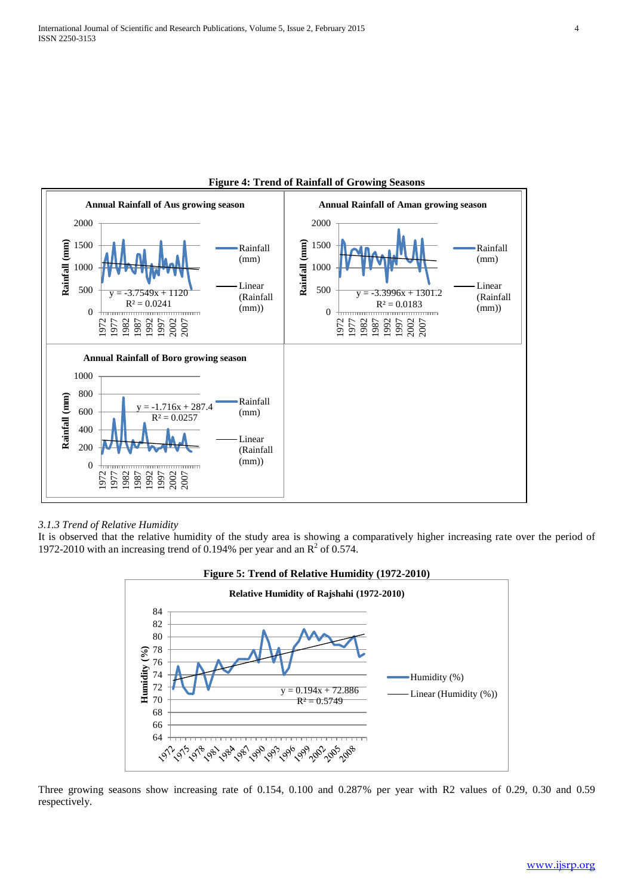

## **Figure 4: Trend of Rainfall of Growing Seasons**

# *3.1.3 Trend of Relative Humidity*

It is observed that the relative humidity of the study area is showing a comparatively higher increasing rate over the period of 1972-2010 with an increasing trend of 0.194% per year and an  $R^2$  of 0.574.



Three growing seasons show increasing rate of 0.154, 0.100 and 0.287% per year with R2 values of 0.29, 0.30 and 0.59 respectively.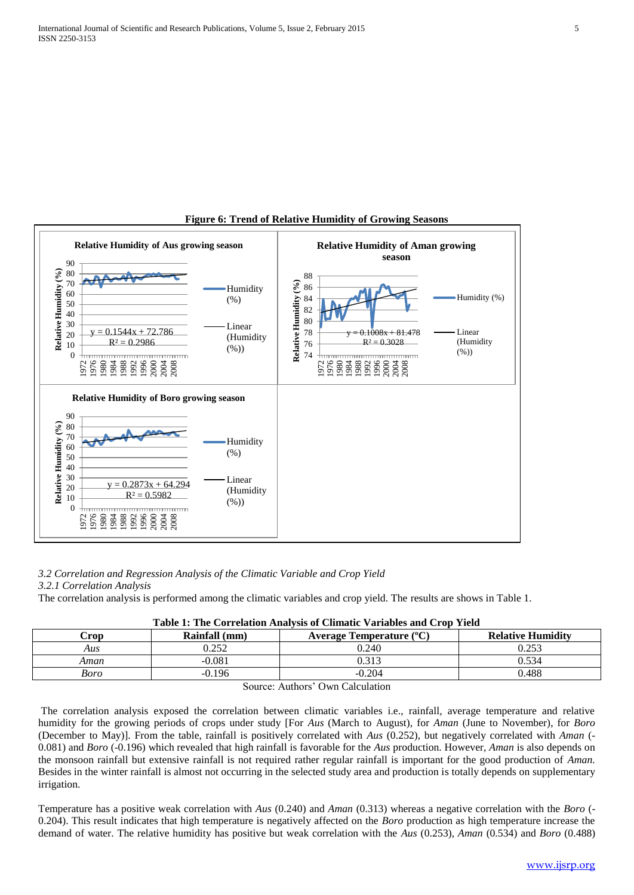

# **Figure 6: Trend of Relative Humidity of Growing Seasons**

## *3.2 Correlation and Regression Analysis of the Climatic Variable and Crop Yield*

*3.2.1 Correlation Analysis*

The correlation analysis is performed among the climatic variables and crop yield. The results are shows in Table 1.

| <b>Crop</b>                                                   | Rainfall (mm) | Average Temperature $({}^{\circ}C)$ | <b>Relative Humidity</b> |  |
|---------------------------------------------------------------|---------------|-------------------------------------|--------------------------|--|
| Aus                                                           | 0.252         | 0.240                               | 0.253                    |  |
| Aman                                                          | $-0.081$      | 0.313                               | 0.534                    |  |
| Boro                                                          | $-0.196$      | $-0.204$                            | 0.488                    |  |
| $\sim$<br>$\sim$ 1 1 $\cdot$<br>$\sim$<br>$\lambda$ $\lambda$ |               |                                     |                          |  |

## **Table 1: The Correlation Analysis of Climatic Variables and Crop Yield**

Source: Authors' Own Calculation

The correlation analysis exposed the correlation between climatic variables i.e., rainfall, average temperature and relative humidity for the growing periods of crops under study [For *Aus* (March to August), for *Aman* (June to November), for *Boro* (December to May)]. From the table, rainfall is positively correlated with *Aus* (0.252), but negatively correlated with *Aman* (- 0.081) and *Boro* (-0.196) which revealed that high rainfall is favorable for the *Aus* production. However, *Aman* is also depends on the monsoon rainfall but extensive rainfall is not required rather regular rainfall is important for the good production of *Aman.*  Besides in the winter rainfall is almost not occurring in the selected study area and production is totally depends on supplementary irrigation.

Temperature has a positive weak correlation with *Aus* (0.240) and *Aman* (0.313) whereas a negative correlation with the *Boro* (- 0.204). This result indicates that high temperature is negatively affected on the *Boro* production as high temperature increase the demand of water. The relative humidity has positive but weak correlation with the *Aus* (0.253), *Aman* (0.534) and *Boro* (0.488)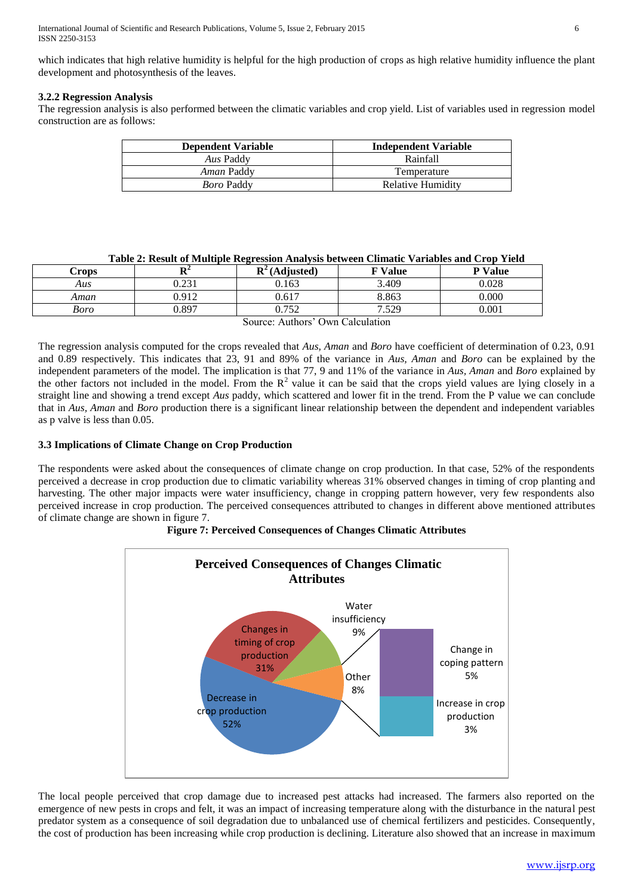which indicates that high relative humidity is helpful for the high production of crops as high relative humidity influence the plant development and photosynthesis of the leaves.

## **3.2.2 Regression Analysis**

The regression analysis is also performed between the climatic variables and crop yield. List of variables used in regression model construction are as follows:

| <b>Dependent Variable</b> | <b>Independent Variable</b> |
|---------------------------|-----------------------------|
| Aus Paddy                 | Rainfall                    |
| <i>Aman Paddy</i>         | Temperature                 |
| <i>Boro</i> Paddy         | Relative Humidity           |

|  |  |  | Table 2: Result of Multiple Regression Analysis between Climatic Variables and Crop Yield |  |
|--|--|--|-------------------------------------------------------------------------------------------|--|
|  |  |  |                                                                                           |  |

| Crops | $T^*$<br> | $\mathbf{D}^2$<br>(Adjusted) | <b>W</b> Value | <b>v</b> Value |
|-------|-----------|------------------------------|----------------|----------------|
| Aus   | 0.231     | 0.163                        | 3.409          | 0.028          |
| Aman  | 0.912     | 0.617                        | 8.863          | 0.000          |
| Boro  | J.897     | 752<br>◡. ៸ ◡∠               | 7.529          | 0.001          |

Source: Authors' Own Calculation

The regression analysis computed for the crops revealed that *Aus, Aman* and *Boro* have coefficient of determination of 0.23, 0.91 and 0.89 respectively. This indicates that 23, 91 and 89% of the variance in *Aus, Aman* and *Boro* can be explained by the independent parameters of the model. The implication is that 77, 9 and 11% of the variance in *Aus, Aman* and *Boro* explained by the other factors not included in the model. From the  $R^2$  value it can be said that the crops yield values are lying closely in a straight line and showing a trend except *Aus* paddy, which scattered and lower fit in the trend. From the P value we can conclude that in *Aus, Aman* and *Boro* production there is a significant linear relationship between the dependent and independent variables as p valve is less than 0.05.

# **3.3 Implications of Climate Change on Crop Production**

The respondents were asked about the consequences of climate change on crop production. In that case, 52% of the respondents perceived a decrease in crop production due to climatic variability whereas 31% observed changes in timing of crop planting and harvesting. The other major impacts were water insufficiency, change in cropping pattern however, very few respondents also perceived increase in crop production. The perceived consequences attributed to changes in different above mentioned attributes of climate change are shown in figure 7.



## **Figure 7: Perceived Consequences of Changes Climatic Attributes**

The local people perceived that crop damage due to increased pest attacks had increased. The farmers also reported on the emergence of new pests in crops and felt, it was an impact of increasing temperature along with the disturbance in the natural pest predator system as a consequence of soil degradation due to unbalanced use of chemical fertilizers and pesticides. Consequently, the cost of production has been increasing while crop production is declining. Literature also showed that an increase in maximum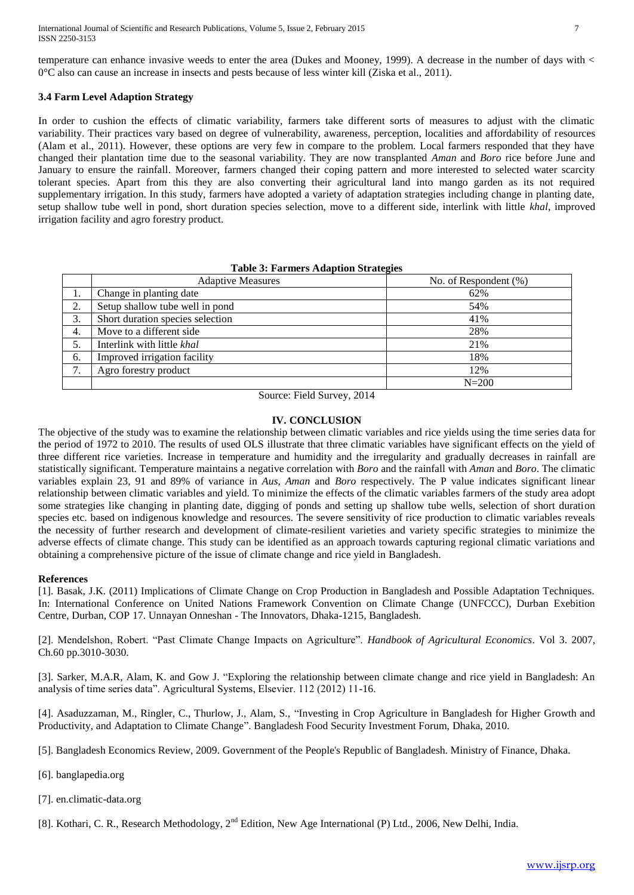temperature can enhance invasive weeds to enter the area (Dukes and Mooney, 1999). A decrease in the number of days with < 0°C also can cause an increase in insects and pests because of less winter kill (Ziska et al., 2011).

#### **3.4 Farm Level Adaption Strategy**

In order to cushion the effects of climatic variability, farmers take different sorts of measures to adjust with the climatic variability. Their practices vary based on degree of vulnerability, awareness, perception, localities and affordability of resources (Alam et al., 2011). However, these options are very few in compare to the problem. Local farmers responded that they have changed their plantation time due to the seasonal variability. They are now transplanted *Aman* and *Boro* rice before June and January to ensure the rainfall. Moreover, farmers changed their coping pattern and more interested to selected water scarcity tolerant species. Apart from this they are also converting their agricultural land into mango garden as its not required supplementary irrigation. In this study, farmers have adopted a variety of adaptation strategies including change in planting date, setup shallow tube well in pond, short duration species selection, move to a different side, interlink with little *khal*, improved irrigation facility and agro forestry product.

#### **Table 3: Farmers Adaption Strategies**

|                            | <b>Adaptive Measures</b>         | No. of Respondent (%) |
|----------------------------|----------------------------------|-----------------------|
| 1.                         | Change in planting date          | 62%                   |
| 2.                         | Setup shallow tube well in pond  | 54%                   |
| 3.                         | Short duration species selection | 41%                   |
| 4.                         | Move to a different side.        | 28%                   |
|                            | Interlink with little khal       | 21%                   |
| 6.                         | Improved irrigation facility     | 18%                   |
| $\mathbf{r}$<br>$\prime$ . | Agro forestry product            | 12%                   |
|                            |                                  | $N = 200$             |

Source: Field Survey, 2014

#### **IV. CONCLUSION**

The objective of the study was to examine the relationship between climatic variables and rice yields using the time series data for the period of 1972 to 2010. The results of used OLS illustrate that three climatic variables have significant effects on the yield of three different rice varieties. Increase in temperature and humidity and the irregularity and gradually decreases in rainfall are statistically significant. Temperature maintains a negative correlation with *Boro* and the rainfall with *Aman* and *Boro*. The climatic variables explain 23, 91 and 89% of variance in *Aus*, *Aman* and *Boro* respectively. The P value indicates significant linear relationship between climatic variables and yield. To minimize the effects of the climatic variables farmers of the study area adopt some strategies like changing in planting date, digging of ponds and setting up shallow tube wells, selection of short duration species etc. based on indigenous knowledge and resources. The severe sensitivity of rice production to climatic variables reveals the necessity of further research and development of climate-resilient varieties and variety specific strategies to minimize the adverse effects of climate change. This study can be identified as an approach towards capturing regional climatic variations and obtaining a comprehensive picture of the issue of climate change and rice yield in Bangladesh.

#### **References**

[1]. Basak, J.K. (2011) Implications of Climate Change on Crop Production in Bangladesh and Possible Adaptation Techniques. In: International Conference on United Nations Framework Convention on Climate Change (UNFCCC), Durban Exebition Centre, Durban, COP 17. Unnayan Onneshan - The Innovators, Dhaka-1215, Bangladesh.

[2]. Mendelshon, Robert. "Past Climate Change Impacts on Agriculture". *Handbook of Agricultural Economics*. Vol 3. 2007, Ch.60 pp.3010-3030.

[3]. Sarker, M.A.R, Alam, K. and Gow J. "Exploring the relationship between climate change and rice yield in Bangladesh: An analysis of time series data". Agricultural Systems, Elsevier. 112 (2012) 11-16.

[4]. Asaduzzaman, M., Ringler, C., Thurlow, J., Alam, S., "Investing in Crop Agriculture in Bangladesh for Higher Growth and Productivity, and Adaptation to Climate Change". Bangladesh Food Security Investment Forum, Dhaka, 2010.

[5]. Bangladesh Economics Review, 2009. Government of the People's Republic of Bangladesh. Ministry of Finance, Dhaka.

[6]. banglapedia.org

[7]. en.climatic-data.org

[8]. Kothari, C. R., Research Methodology, 2<sup>nd</sup> Edition, New Age International (P) Ltd., 2006, New Delhi, India.